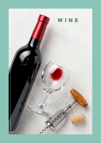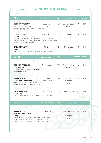## WINE BY THE GLASS

 $\begin{array}{c} \bullet\bullet\bullet\end{array}$ 

 $-144$ 

I

| <b>RED</b><br><b>GRAPES VARIETY</b><br><b>ABV</b><br><b>COUNTRY</b><br><b>GLASS</b><br><b>BOTTLE</b><br>Cabernet<br><b>BODEGA ARLEQUIN</b><br>13%<br>Central Valley<br>129<br>590<br>Chile<br>Cabernet Sauvignon<br>Sauvignon<br>[Elegant Aromas - Black Cherries And Dried<br>Plums - Great Finish]<br>$\sim$<br>Nero d'Avola<br>13%<br><b>TERRE FORTI</b><br>Silicia<br>590<br>129<br>Nero d'Avola<br>Italy<br>[Inky Red In Colour And Medium-Bodied, This Sicilian Native<br>Red Is Resplendent With Ripe Redcurrant And Blackberries, With<br>Soulful Hints Of Spicy Cedar]<br>Merlot<br>13%<br><b>CASA CECCATO</b><br>IGT Veneto<br>149<br>690<br>Merlot<br>Italy<br>[Dark Plum - Super Smooth And Silky Absolute Delight]<br><b>WHITE</b><br><b>ABV</b><br><b>CBOUNTLIEY</b><br><b>GLASS</b><br><b>GRAPES VARIETY</b><br>$\sigma_{\rm d}$<br><b>BODEGA ARLEQUIN</b><br>Chardonnay<br>13%<br>Central Valley 590<br>129<br>Chardonnay<br>Chile<br>[Tropical Fruit - Buttery - Honey Notes<br>Excellent Acidity]<br>Trebbiano<br>Emilia<br><b>TERRE FORTI</b><br>13%<br>590<br>129<br>Chardonnay<br>Trebbiano Chardonnay<br>Romagna<br>[Citrus Notes, Green Apple, Peach & Fresh<br>Italy<br>Apricot.light-Bodied And Easy-Drinking]<br>Pinot Grigio<br>12%<br>Delle Venezie 690<br><b>CASA CECCATO</b><br>149<br>Pinot Grigio<br>Italy<br>[Enticing Floral Notes - Pleasantly Fresh - Fresh Acidity]<br><b>ROSE</b><br><b>ABV</b><br><b>COUNTRY</b><br><b>BOTTLE</b><br><b>GLASS</b><br><b>GRAPES VARIETY</b><br>12%<br>Rubicone IGT, 490<br>129<br><b>TAVERNELLO</b><br>Sangiovese<br>Emilia<br><b>SANGIOVESE ROSATO</b><br>Sangiovese<br>Romagna<br>[Light And Easy Going Rose With Aromas Of Pear And<br>Italy<br>Tangerine. Lively Acidity And Long Lasting On The<br>Palate. Perfect Match With Salad, Fish Or Risotto.] | <b>Report Follows</b> |  |  |  |
|-----------------------------------------------------------------------------------------------------------------------------------------------------------------------------------------------------------------------------------------------------------------------------------------------------------------------------------------------------------------------------------------------------------------------------------------------------------------------------------------------------------------------------------------------------------------------------------------------------------------------------------------------------------------------------------------------------------------------------------------------------------------------------------------------------------------------------------------------------------------------------------------------------------------------------------------------------------------------------------------------------------------------------------------------------------------------------------------------------------------------------------------------------------------------------------------------------------------------------------------------------------------------------------------------------------------------------------------------------------------------------------------------------------------------------------------------------------------------------------------------------------------------------------------------------------------------------------------------------------------------------------------------------------------------------------------------------------------------------------------------------------------------------------------------------------------------------------|-----------------------|--|--|--|
|                                                                                                                                                                                                                                                                                                                                                                                                                                                                                                                                                                                                                                                                                                                                                                                                                                                                                                                                                                                                                                                                                                                                                                                                                                                                                                                                                                                                                                                                                                                                                                                                                                                                                                                                                                                                                                   |                       |  |  |  |
|                                                                                                                                                                                                                                                                                                                                                                                                                                                                                                                                                                                                                                                                                                                                                                                                                                                                                                                                                                                                                                                                                                                                                                                                                                                                                                                                                                                                                                                                                                                                                                                                                                                                                                                                                                                                                                   |                       |  |  |  |
|                                                                                                                                                                                                                                                                                                                                                                                                                                                                                                                                                                                                                                                                                                                                                                                                                                                                                                                                                                                                                                                                                                                                                                                                                                                                                                                                                                                                                                                                                                                                                                                                                                                                                                                                                                                                                                   |                       |  |  |  |
|                                                                                                                                                                                                                                                                                                                                                                                                                                                                                                                                                                                                                                                                                                                                                                                                                                                                                                                                                                                                                                                                                                                                                                                                                                                                                                                                                                                                                                                                                                                                                                                                                                                                                                                                                                                                                                   |                       |  |  |  |
|                                                                                                                                                                                                                                                                                                                                                                                                                                                                                                                                                                                                                                                                                                                                                                                                                                                                                                                                                                                                                                                                                                                                                                                                                                                                                                                                                                                                                                                                                                                                                                                                                                                                                                                                                                                                                                   |                       |  |  |  |
|                                                                                                                                                                                                                                                                                                                                                                                                                                                                                                                                                                                                                                                                                                                                                                                                                                                                                                                                                                                                                                                                                                                                                                                                                                                                                                                                                                                                                                                                                                                                                                                                                                                                                                                                                                                                                                   |                       |  |  |  |
|                                                                                                                                                                                                                                                                                                                                                                                                                                                                                                                                                                                                                                                                                                                                                                                                                                                                                                                                                                                                                                                                                                                                                                                                                                                                                                                                                                                                                                                                                                                                                                                                                                                                                                                                                                                                                                   |                       |  |  |  |
|                                                                                                                                                                                                                                                                                                                                                                                                                                                                                                                                                                                                                                                                                                                                                                                                                                                                                                                                                                                                                                                                                                                                                                                                                                                                                                                                                                                                                                                                                                                                                                                                                                                                                                                                                                                                                                   |                       |  |  |  |
|                                                                                                                                                                                                                                                                                                                                                                                                                                                                                                                                                                                                                                                                                                                                                                                                                                                                                                                                                                                                                                                                                                                                                                                                                                                                                                                                                                                                                                                                                                                                                                                                                                                                                                                                                                                                                                   |                       |  |  |  |
|                                                                                                                                                                                                                                                                                                                                                                                                                                                                                                                                                                                                                                                                                                                                                                                                                                                                                                                                                                                                                                                                                                                                                                                                                                                                                                                                                                                                                                                                                                                                                                                                                                                                                                                                                                                                                                   |                       |  |  |  |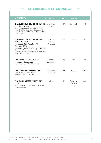## SPARKLING & CHAMPANGE

 $\bullet$  + + +  $\bullet$  +  $\bullet$ 

 $\begin{array}{ccccc}\n\bullet & \bullet & \bullet & \bullet\n\end{array}$ 

| <b>SPARKLING</b>                                                                                                                                                                                                                                                        | <b>GRAPES VARIETY</b>            | <b>ABV</b> | <b>COUNTRY</b>              | <b>BOTTLE</b> |
|-------------------------------------------------------------------------------------------------------------------------------------------------------------------------------------------------------------------------------------------------------------------------|----------------------------------|------------|-----------------------------|---------------|
| <b>CHARLES ROUX BLANC DE BLANCS</b><br>Chardonnay, Aligote<br>[Fresh Aromas Of Pomelo, Lime Mix With<br>Hints Of White Floral. Lively Bubbles With<br>Mineral Taste And Well Balanced Acidity With<br>Long Finish]                                                      | Chardonay<br>Aligote             | 11.5%      | Burgundy<br>France          | 590           |
| CODORNIU, CLASICO SPARKLING<br><b>BRUT, DO CAVA</b><br>Maccabeo 40% Xarello 40%<br>Parellada 20%<br>[Crisp And Refreshing, This Helps Make Every<br>Occasion A Celebration! Lovely Pale Lemon<br>Coloured Sparkling Wine With Aromas Of Baked<br>Apple And Citrus Zest] | Maccabeo<br>Xarello<br>Parellada | 11.5%      | Spain                       | 790           |
| <b>CASA BURTI "FLUTE DOLCE"</b><br>Moscato - Garganega<br>[Apricot Aromas - Sweet Elegance]                                                                                                                                                                             | Moscato<br>Garganega             | 9.5%       | Italy                       | 790           |
| LES JAMELLES "METHOD TRAD"<br>Chardonay - Pinot Noir<br>[Brilliant - Lovely - Brioche]                                                                                                                                                                                  | Chardonay<br>Pinot Noir          | 12%        | France                      | 890           |
| RIONDO PROSECCO "EXTRA DRY"<br>Glera<br>[Fresh Floral Notes - Complex Structure And<br>Refined Bubbles1                                                                                                                                                                 | Glera                            | 11%        | Prosecco<br>Veneto<br>Italy | 890           |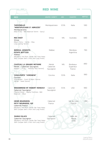# RED WINE

 $\begin{array}{ccccc}\n\bullet & \bullet & \bullet & \bullet\n\end{array}$ 

 $\overline{\phantom{a}}$ 

| <b>RED</b>                                                                               | <b>GRAPES VARIETY</b> | <b>ABV</b> | <b>COUNTRY</b> | <b>BOTTLE</b> |
|------------------------------------------------------------------------------------------|-----------------------|------------|----------------|---------------|
|                                                                                          |                       |            |                |               |
| <b>TARVENELLO</b>                                                                        | Montepulciano         | 12.5%      | Italia         | 590           |
| "MONTEPUCIANO D' ABRUZZO"                                                                |                       |            |                |               |
| Montepulciano<br>[Ripe Fruits - Well Balanced Tannin - Spicy]                            |                       |            |                |               |
| $\sim$                                                                                   |                       |            |                |               |
| $\sim$<br><b>RED KNOT</b>                                                                | Shiraz                | 14%        | Australia      | 690           |
| Shiraz                                                                                   |                       |            |                |               |
| [Black Cherry - Vanilla - Okay                                                           |                       |            |                |               |
| Long Lasting Tannin]                                                                     |                       |            |                |               |
| <b>BODEGA ARGENTO,</b>                                                                   | Malbec                |            | Mendoza        | 790           |
| <b>ESTATE BOTTLED</b>                                                                    |                       |            | Argentina      |               |
| Malbec                                                                                   |                       |            |                |               |
| [Blueberry And Plum, Gentle Oak Toast Notes<br>With Complex With A Rich And Long Finish] |                       |            |                |               |
|                                                                                          |                       |            |                |               |
| <b>CHATEAU LA GRANDE METAIRIE</b>                                                        | Merlot                | 14%        | Bordeaux       | 890           |
| Merlot - Cabernet Sauvignon                                                              | Cabernet              |            | Superieur      |               |
| [Elegant - Fruity - Perfectly Ripe Tannins]                                              | Sauvignon             |            | France         |               |
|                                                                                          |                       |            |                |               |
| <b>CASALFORTE "VERONESE"</b>                                                             | Corvina               | 13.5%      | Italia         | 990           |
| Corvina<br>[Full-Bodied - Scent Of Black Cherries                                        |                       |            |                |               |
| Vanilla - Sweet Spices]                                                                  |                       |            |                |               |
|                                                                                          |                       |            |                |               |
| WOODBRIDGE BY ROBERT MONDAVI                                                             | Cabernet              | 13.5%      | <b>USA</b>     | 990           |
| Cabernet Sauvignon                                                                       | Sauvignon             |            |                |               |
| [Toasted Bread - Slightly Freshness -Well<br>Balanced - Silky]                           |                       |            |                |               |
|                                                                                          |                       |            |                |               |
|                                                                                          | Cabernet              |            | Val de Loire   | 1.190         |
| <b>HENRI BOURGEOIS,</b><br>PETIT BOURGEOIS, IGP                                          | France                |            | France         |               |
| Cabernet France                                                                          |                       |            |                |               |
| [Blueberry And Plum, Gentle Oak Toast Notes<br>With Complex With A Rich And Long Finish] |                       |            |                |               |
|                                                                                          |                       |            |                |               |
|                                                                                          | Cabernet              |            | Valle del      | 1.190         |
| <b>DIABLO BLACK</b><br>Cabernet Sauvignon                                                | Sauvignon             |            | Maule          |               |
| [Blueberry And Plum, Gentle Oak Toast Notes                                              |                       |            | Chile          |               |
| With Complex With A Rich And Long Finish]                                                |                       |            |                |               |
|                                                                                          |                       |            |                |               |
|                                                                                          |                       |            |                |               |
|                                                                                          |                       |            |                |               |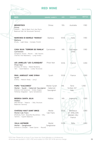#### RED WINE

 $\bullet\bullet\bullet$ 

 $\rightarrow$ 

| <b>RED</b>                                                                                                                                                  | <b>GRAPES VARIETY</b>     | <b>ABV</b> | <b>COUNTRY</b>                                                       | <b>BOTTLE</b> |
|-------------------------------------------------------------------------------------------------------------------------------------------------------------|---------------------------|------------|----------------------------------------------------------------------|---------------|
| <b>WOODSTOCK</b><br><b>Shiraz</b><br>[Vibrant - Red & Black Fruit Like Plums<br>Balanced Soft Yet Structured Tannins1                                       | Shiraz                    | 15%        | Australia                                                            | 1.190         |
| <b>MARCHESI DI BAROLO "MARAIA"</b><br>Barbera<br>[Fruity - Light Body - Complex Finish]                                                                     | <b>Barbera</b>            | 14.5%      | Italia                                                               | 1.190         |
| <b>CASA SILVA "TERROIR DE FAMILIA"</b><br>Carmenere<br>[Gorgeous Aroma - Round - Soft Tannins<br>Cherries And Blackberry - Long Finish]                     | Carmenere                 | 14%        | Colchagua<br>Chile                                                   | 1.190         |
| LES JAMELLES "LES CLASSIQUES"<br>Pinot Noir<br>[Aromas Of Cherry - Baked Blueberry<br>Tart - Good Balance - Lovely Structure]                               | Pinot Noir                | 13.5%      | France                                                               | 1.290         |
| PAUL JABOULET AINE SYRAH<br>Syrah<br>[Cherry - Medium Body - Juicy]                                                                                         | Syrah                     | 13.5%      | France                                                               | 1.290         |
| <b>FUMU "VULCANICO"</b><br>Merlot - Syrah - Cabernet Sauvignon Cabernet<br>[Intense And Generous - Smoky Grapes<br>Perfectly Integrated - Spice Sensations] | Merlot-Syrah<br>Sauvignon | 14%        | Terre<br>Sicilian IGT<br>Italy                                       | 1.290         |
| <b>BODEGA SANTA JULIA</b><br>Malbec<br>[Red Berries - Tobacco - Silky Structure<br>Balanced Tannins]                                                        | Malbec                    | 14%        | Argentina                                                            | 1.390         |
| <b>CHATEAU HAUT SAINT BRICE</b><br>Merlot-Cab Franc<br>[Perfectly Fresh -Beautiful Roundness - Silky<br>Tannins - Superb Balance]                           | Merlot<br>Cab Franc       | 13.5%      | <b>Bordeaux</b><br><b>ST. EMILLION</b><br><b>GRAND CRU</b><br>France | 1.390         |
| <b>VILLA ANTINORI</b><br>Merlot - Sangiovese<br>[Intense & Complex - Sweet Spices - Round]                                                                  | Merlot<br>Sangiovese      | 13.5%      | Italia                                                               | 1.390         |

MSG free. Please let us know if you have any food allergies or intolerances. All prices are quoted in ,000 VND and subject to 10% VAT & 5% service charge 39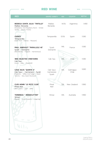#### RED WINE

 $\bullet\bullet\bullet\quad -$ 

 $- + +$ 

| <b>RED</b>                                                                                                                             | <b>GRAPES VARIETY</b>          | <b>ABV</b> | <b>COUNTRY</b>     | <b>BOTTLE</b> |
|----------------------------------------------------------------------------------------------------------------------------------------|--------------------------------|------------|--------------------|---------------|
|                                                                                                                                        |                                |            |                    |               |
| <b>BODEGA SANTA JULIA "TINTILLO"</b><br>Malbec Bonarda<br>[Strawberry And Raspberry Burst - Smoke<br>Vanilla - Velvety Finish]         | Malbec<br>Bonarda              | 14.5%      | Argentina          | 1.490         |
| <b>CODICE</b><br>Tempranillo<br>[Dark Fruit - Intense - Pleasant]                                                                      | Tempranillo                    | 13.5%      | Spain              | 1.590         |
| <b>PAUL JABOULET "PARALLELE 45"</b><br>Syrah - Grenache<br>[Red Berries - Fragrant - Harmonious]                                       | Syrah<br>Grenache              | 14%        | France             | 1.590         |
| <b>1865 SELECTED VINEYARDS</b><br>Cab Sau<br>[Juicy - Oaky - Powerfull]                                                                | Cab Sau                        | 14%        | Chile              | 1.590         |
| <b>CASA SILVA "QUINTA 5"</b><br>Cab Sauv - Carmenere - Syrah<br>[Powerful - Toffee And Fudge - Sweet<br>Tannins - Very Good Structure] | Cab Sauv<br>Carmenere<br>Syrah | 14%        | Colchagua<br>Chile | 1.690         |
| <b>CLOS HENRI "LE PETIT CLOS"</b><br>Pinot Noir<br>[Red Cherry - Light - Soft]                                                         | Pinot<br>Noir                  | 13%        | New Zealand        | 1.990         |
| <b>TORBRECK " WOODCUTTER"</b><br><b>Shiraz</b><br>[Spices - Juicy Presents - Lingering]                                                | Shiraz                         | 14%        | Australia          | 1.990         |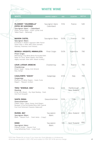#### WHITE WINE

 $\bullet\bullet\bullet$ 

 $\rightarrow$ 

| <b>WHITE</b>                                                                                                                                                                             | <b>GRAPES VARIETY</b>        | <b>ABV</b> | <b>COUNTRY</b>             | <b>BOTTLE</b> |
|------------------------------------------------------------------------------------------------------------------------------------------------------------------------------------------|------------------------------|------------|----------------------------|---------------|
|                                                                                                                                                                                          |                              |            |                            |               |
| PLAIMONT "COLOMBELLE"<br><b>COTES DE GASCONGE</b><br>Sauvignon blanc - Colombard<br>[Zesty Lemon Notes - Exotic Lychee And<br>Yellow Peach - Refresing]                                  | Sauvignon blanc<br>Colombard | 11.5%      | France                     | 540           |
| <b>MAISON CASTEL</b><br>Sauvignon Blanc<br>[Combines A Modern Approach With French<br>Savoir-Faire. A Wine With Good Aromatic<br>Intensity, Freshness And Finesse]                       | Sauvignon Blanc              | 13.0%      | France                     | 790           |
| BODEGA ARGENTO, MINIMALISTA<br>Pinot Grigio<br>[Refreshing, Crisp White Wines Punctuated With<br>Notes Of Citrus, White Flowers And Herbs.<br>Highly-Aromatic Wine With Vibrant Acidity] | Pinot Grigio                 | 13.0%      | Argentina                  | 790           |
| <b>LOUIS LATOUR ARDECHE</b><br>Chardonnay<br>[Green Apple - Honey And Almond<br>Easy Going]                                                                                              | Chardonnay                   | 13%        | France                     | 790           |
| <b>CASALFORTE "SOAVE"</b><br>Garganega<br>[Perfume Of White Flowers - Exotic Fruits<br>Elegant - Pleasant Acidity]                                                                       | Garganega                    | 12.5%      | Italy                      | 790           |
| TOHU "WHENUA AWA"<br>Riesling<br>[Crisp And Vibrant - Dry-Style Riesling - Fresh<br>And Fruit-Forward]                                                                                   | Riesling                     | 12.5%      | Marlborough<br>New Zealand | 790           |
| <b>SANTA DIGNA</b><br>Gewurztraminer<br>[Yellow Colour. Classic Honey-And-Flowers<br>Bouquet. A Fine Full-Bodied Wine, With Tropical<br>Fruit And Perfumed Character Balanced]           | Gewurztraminer               | 13.5%      | Chile                      | 890           |
| <b>MUSSEL BAY</b><br>Sauvignon Blanc<br>[Resh - Passion Fruit - Fresh Herbs - Crispy]                                                                                                    | Sauvignon<br><b>Blanc</b>    | 12.5%      | New Zealand                | 890<br>۸      |
| <b>KONO</b><br>Sauvignon blanc<br>[Vibrant Acidity - Passion Fruit<br>Long Refreshing Finish - Lively Fruit]                                                                             | Sauvignon<br>Blanc           | 13%        | New Zealand                | 890           |

MSG free. Please let us know if you have any food allergies or intolerances. All prices are quoted in ,000 VND and subject to 10% VAT & 5% service charge  $41$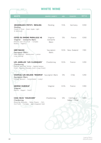### WHITE WINE

 $\begin{array}{ccc}\n\bullet & \bullet & \bullet & \bullet & \bullet\n\end{array}$ 

 $\overline{\phantom{a}}$ 

| <b>WHITE</b>                                                                               | <b>GRAPES VARIETY</b> | <b>ABV</b> | <b>COUNTRY</b>              | <b>BOTTLE</b> |
|--------------------------------------------------------------------------------------------|-----------------------|------------|-----------------------------|---------------|
| $\sim$                                                                                     |                       |            |                             |               |
|                                                                                            |                       |            |                             |               |
| <b>GRUNDELOCH FRITZ'S RIESLING</b><br>Riesling                                             | Riesling              | 11.5%      | Germany                     | 1.090         |
| [Sweet & Floral - Green Apple- Light                                                       |                       |            |                             |               |
| & Delicious]<br>$\sim$                                                                     |                       |            |                             |               |
| $\blacksquare$                                                                             |                       |            |                             |               |
| <b>COTES DU RHONE PARALLELE 45</b>                                                         | Viognier<br>Grenache  | 13%        | France                      | 1.090         |
| Viognier - Grenache Blanc<br>[Flowers and citrus fruit - Complex                           | <b>Blanc</b>          |            |                             |               |
| Buttery - Organic]                                                                         |                       |            |                             |               |
|                                                                                            |                       |            |                             |               |
| <b>GREYWACKE</b>                                                                           | Sauvignon             |            | 13.5% New Zealand           | 1.190         |
| Sauvignon Blanc<br>[Well-Balanced - Blackcurrent - Lemon                                   | <b>Blanc</b>          |            |                             |               |
| Long Lasting]                                                                              |                       |            |                             |               |
|                                                                                            |                       |            |                             |               |
| LES JAMELLES "LES CLASSIQUES"                                                              | Chardonnay            | 13.5%      | France                      | 1.290         |
| Chardonnay<br>[Apricot And Pear Aroma - Slightly Buttery                                   |                       |            |                             |               |
| Finish -Pleasing Minerality And A Long Finish]                                             |                       |            |                             |               |
|                                                                                            |                       |            |                             |               |
| <b>CHATEAU LOS BOLDOS "RESERVE"</b> Sauvignon Blanc                                        |                       | 13%        | Chile                       | 1.290         |
| Sauvignon Blanc<br>[Orange Blossom - Concentrated - Lively]                                |                       |            |                             |               |
|                                                                                            |                       |            |                             |               |
|                                                                                            |                       |            |                             |               |
| <b>GEORGE DUBOEUF</b><br>Viognier                                                          | Viognier              | 12.5%      | France                      | 1.390         |
| [Round - Elegant - Fresh]                                                                  |                       |            |                             |               |
|                                                                                            |                       |            |                             |               |
|                                                                                            |                       |            |                             |               |
| <b>CASA SILVA "COLECCION"</b><br>Chardonnay                                                | Chardonnay            | 14%        | Colchagua<br>Valley - Chile | 1.490         |
| [Boasting Minerality - Yellow Flowers - Rich<br>And Fresh - Complex - Well-Integrated Oak] |                       |            |                             |               |
|                                                                                            |                       |            |                             |               |
|                                                                                            |                       |            |                             |               |
|                                                                                            |                       |            |                             |               |
|                                                                                            |                       |            |                             |               |
|                                                                                            |                       |            |                             |               |
|                                                                                            |                       |            |                             |               |
|                                                                                            |                       |            |                             |               |
|                                                                                            |                       |            |                             |               |
|                                                                                            |                       |            |                             |               |
|                                                                                            |                       |            |                             |               |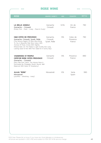#### ROSE WINE

 $\bullet\bullet\bullet\quad=$ 

 $\bullet$ 

| <b>ROSE</b>                                                                                                                                                                                                                                                                                                            | <b>GRAPES VARIETY</b>                  | <b>ABV</b> | <b>COUNTRY</b>                 | <b>BOTTLE</b> |
|------------------------------------------------------------------------------------------------------------------------------------------------------------------------------------------------------------------------------------------------------------------------------------------------------------------------|----------------------------------------|------------|--------------------------------|---------------|
| <b>LA BELLE ANGELE</b><br>Grenache - Cinsault<br>[Pretty Pink - Fresh - Lively - Floral & Fruity]                                                                                                                                                                                                                      | Grenache<br>Cinsault                   | 12.5%      | Vin de<br>France               | 790           |
| <b>H&amp;B COTES DE PROVENCE</b><br>Grenache, Cinsault, Syrah, Rolle<br>[The Famous Region Of Rose Wine Bring<br>To You A Beautiful Pale Rose Colour With<br>Aromas Of Floral, Anista With Slightly<br>Mineral Note. On The Palate Is Light Acidity But Long<br>Lasting, Good To Pair With Fish, Salad On A Sunny Day] | Grenache,<br>Cinsault,<br>Syrah, Rolle | 13%        | Cotes de<br>Provence<br>France | 790           |
| <b>VIGNERONS ST TROPEZ</b><br><b>CEPD'OR ROSE COTES PROVENCE</b><br>Grenache - Cinsault<br>Thice Pale Pink Colour. The Intense Nose Is<br>Dominated By Pineapple. Mouth: Round, Well<br>Balanced With Notes Of Strawberry]                                                                                             | Grenache<br>Cinsault                   | 13%        | Provence<br>France             | 890           |
| <b>ALAJA "ROSE"</b><br>Monastrell<br>[youthful - refreshing - lively]                                                                                                                                                                                                                                                  | Monastrell                             | 12%        | Yecla<br>Spain                 | 990           |